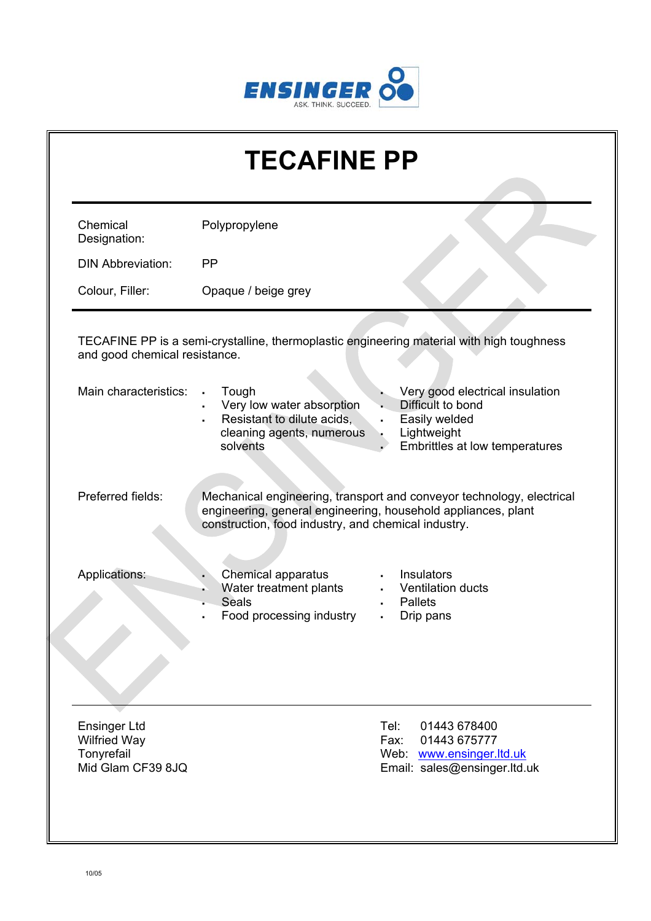

| <b>TECAFINE PP</b>                                                            |                                                                                                                             |                                                                                                                                        |  |  |  |
|-------------------------------------------------------------------------------|-----------------------------------------------------------------------------------------------------------------------------|----------------------------------------------------------------------------------------------------------------------------------------|--|--|--|
| Chemical<br>Designation:                                                      | Polypropylene                                                                                                               |                                                                                                                                        |  |  |  |
| <b>DIN Abbreviation:</b>                                                      | <b>PP</b>                                                                                                                   |                                                                                                                                        |  |  |  |
| Colour, Filler:                                                               | Opaque / beige grey                                                                                                         |                                                                                                                                        |  |  |  |
| and good chemical resistance.                                                 |                                                                                                                             | TECAFINE PP is a semi-crystalline, thermoplastic engineering material with high toughness                                              |  |  |  |
| Main characteristics:                                                         | Tough<br>$\blacksquare$<br>Very low water absorption<br>Resistant to dilute acids,<br>cleaning agents, numerous<br>solvents | Very good electrical insulation<br>Difficult to bond<br>Easily welded<br>×,<br>Lightweight<br>Embrittles at low temperatures           |  |  |  |
| Preferred fields:                                                             | construction, food industry, and chemical industry.                                                                         | Mechanical engineering, transport and conveyor technology, electrical<br>engineering, general engineering, household appliances, plant |  |  |  |
| Applications:                                                                 | Chemical apparatus<br>Water treatment plants<br><b>Seals</b><br>Food processing industry                                    | Insulators<br>Ventilation ducts<br><b>Pallets</b><br>Drip pans                                                                         |  |  |  |
| <b>Ensinger Ltd</b><br><b>Wilfried Way</b><br>Tonyrefail<br>Mid Glam CF39 8JQ |                                                                                                                             | Tel:<br>01443 678400<br>01443 675777<br>Fax:<br>Web: www.ensinger.ltd.uk<br>Email: sales@ensinger.ltd.uk                               |  |  |  |